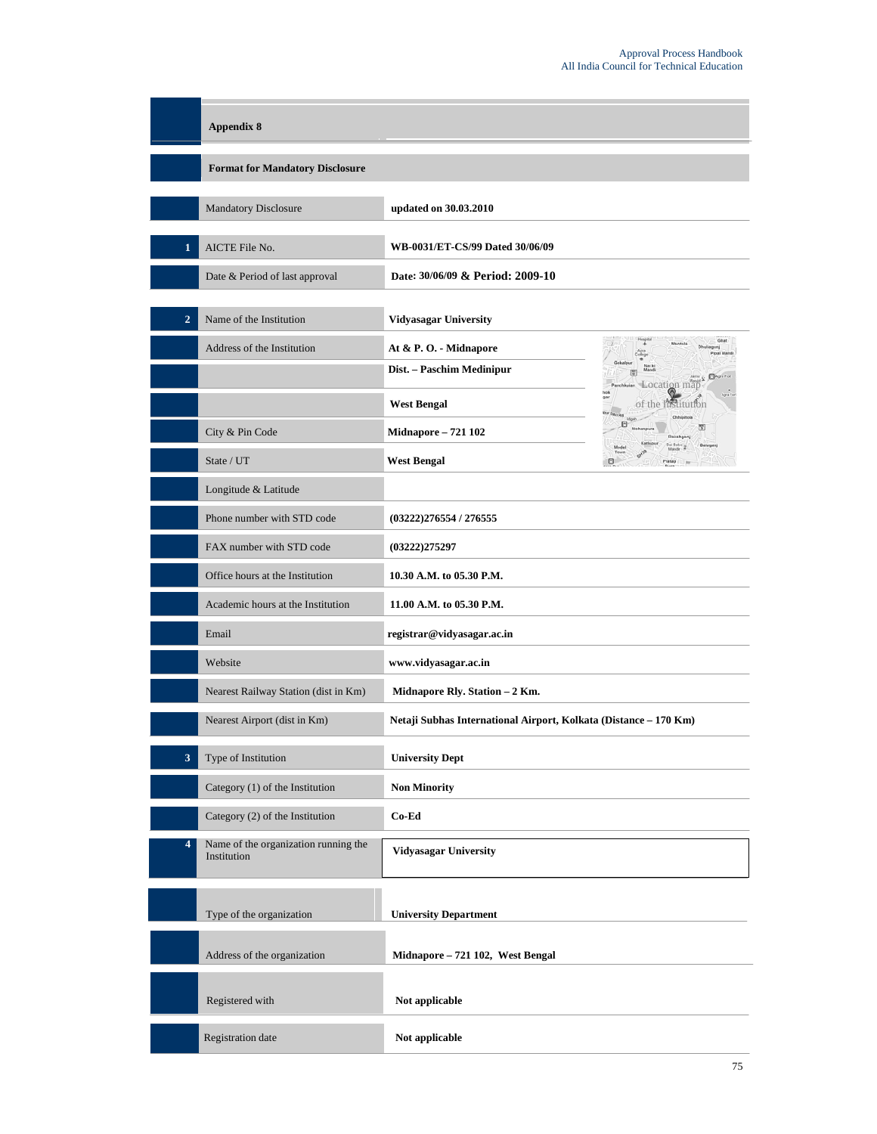|                | <b>Appendix 8</b>                                   |                                                                  |
|----------------|-----------------------------------------------------|------------------------------------------------------------------|
|                | <b>Format for Mandatory Disclosure</b>              |                                                                  |
|                | Mandatory Disclosure                                | updated on 30.03.2010                                            |
|                | AICTE File No.                                      | WB-0031/ET-CS/99 Dated 30/06/09                                  |
|                | Date & Period of last approval                      | Date: 30/06/09 & Period: 2009-10                                 |
| $\overline{2}$ | Name of the Institution                             | <b>Vidyasagar University</b>                                     |
|                | Address of the Institution                          | Mantola<br>At & P.O. - Midnapore                                 |
|                |                                                     | Dist. - Paschim Medinipur<br><b>C</b> Aga For<br>Location map    |
|                |                                                     | <b>West Bengal</b><br>of the filstitution                        |
|                | City & Pin Code                                     | 5<br><b>Midnapore - 721 102</b>                                  |
|                | State / UT                                          | <b>West Bengal</b>                                               |
|                | Longitude & Latitude                                |                                                                  |
|                | Phone number with STD code                          | (03222)276554/276555                                             |
|                | FAX number with STD code                            | (03222)275297                                                    |
|                | Office hours at the Institution                     | 10.30 A.M. to 05.30 P.M.                                         |
|                | Academic hours at the Institution                   | 11.00 A.M. to 05.30 P.M.                                         |
|                | Email                                               | registrar@vidyasagar.ac.in                                       |
|                | Website                                             | www.vidyasagar.ac.in                                             |
|                | Nearest Railway Station (dist in Km)                | Midnapore Rly. Station - 2 Km.                                   |
|                | Nearest Airport (dist in Km)                        | Netaji Subhas International Airport, Kolkata (Distance – 170 Km) |
| 3              | Type of Institution                                 | <b>University Dept</b>                                           |
|                | Category (1) of the Institution                     | <b>Non Minority</b>                                              |
|                | Category (2) of the Institution                     | Co-Ed                                                            |
| 4              | Name of the organization running the<br>Institution | <b>Vidyasagar University</b>                                     |
|                | Type of the organization                            | <b>University Department</b>                                     |
|                | Address of the organization                         | Midnapore - 721 102, West Bengal                                 |
|                | Registered with                                     | Not applicable                                                   |
|                | Registration date                                   | Not applicable                                                   |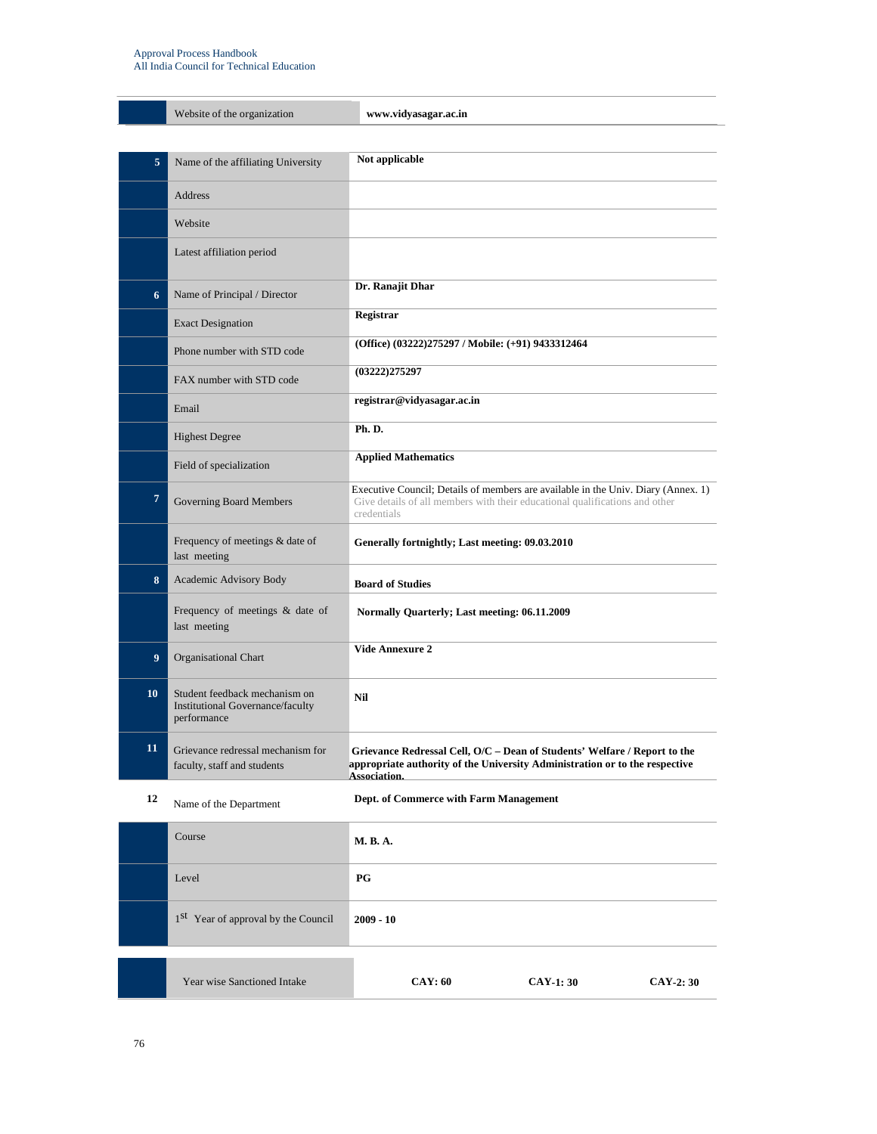#### Approval Process Handbook All India Council for Technical Education

|                | Website of the organization                                                      | www.vidyasagar.ac.in                                                                                                                                                            |
|----------------|----------------------------------------------------------------------------------|---------------------------------------------------------------------------------------------------------------------------------------------------------------------------------|
|                |                                                                                  |                                                                                                                                                                                 |
| 5              | Name of the affiliating University                                               | Not applicable                                                                                                                                                                  |
|                | <b>Address</b>                                                                   |                                                                                                                                                                                 |
|                | Website                                                                          |                                                                                                                                                                                 |
|                | Latest affiliation period                                                        |                                                                                                                                                                                 |
| 6              | Name of Principal / Director                                                     | Dr. Ranajit Dhar                                                                                                                                                                |
|                | <b>Exact Designation</b>                                                         | Registrar                                                                                                                                                                       |
|                | Phone number with STD code                                                       | (Office) (03222)275297 / Mobile: (+91) 9433312464                                                                                                                               |
|                | FAX number with STD code                                                         | (03222)275297                                                                                                                                                                   |
|                | Email                                                                            | registrar@vidyasagar.ac.in                                                                                                                                                      |
|                | <b>Highest Degree</b>                                                            | Ph.D.                                                                                                                                                                           |
|                | Field of specialization                                                          | <b>Applied Mathematics</b>                                                                                                                                                      |
| $\overline{7}$ | <b>Governing Board Members</b>                                                   | Executive Council; Details of members are available in the Univ. Diary (Annex. 1)<br>Give details of all members with their educational qualifications and other<br>credentials |
|                | Frequency of meetings & date of<br>last meeting                                  | Generally fortnightly; Last meeting: 09.03.2010                                                                                                                                 |
| 8              | Academic Advisory Body                                                           | <b>Board of Studies</b>                                                                                                                                                         |
|                | Frequency of meetings & date of<br>last meeting                                  | Normally Quarterly; Last meeting: 06.11.2009                                                                                                                                    |
| 9              | <b>Organisational Chart</b>                                                      | <b>Vide Annexure 2</b>                                                                                                                                                          |
| 10             | Student feedback mechanism on<br>Institutional Governance/faculty<br>performance | Nil                                                                                                                                                                             |
| 11             | Grievance redressal mechanism for<br>faculty, staff and students                 | Grievance Redressal Cell, O/C - Dean of Students' Welfare / Report to the<br>appropriate authority of the University Administration or to the respective<br>Association.        |
| 12             | Name of the Department                                                           | Dept. of Commerce with Farm Management                                                                                                                                          |
|                | Course                                                                           | <b>M. B. A.</b>                                                                                                                                                                 |
|                | Level                                                                            | PG                                                                                                                                                                              |
|                | 1 <sup>st</sup> Year of approval by the Council                                  | $2009 - 10$                                                                                                                                                                     |
|                | Year wise Sanctioned Intake                                                      | <b>CAY: 60</b><br><b>CAY-1: 30</b><br>CAY-2: 30                                                                                                                                 |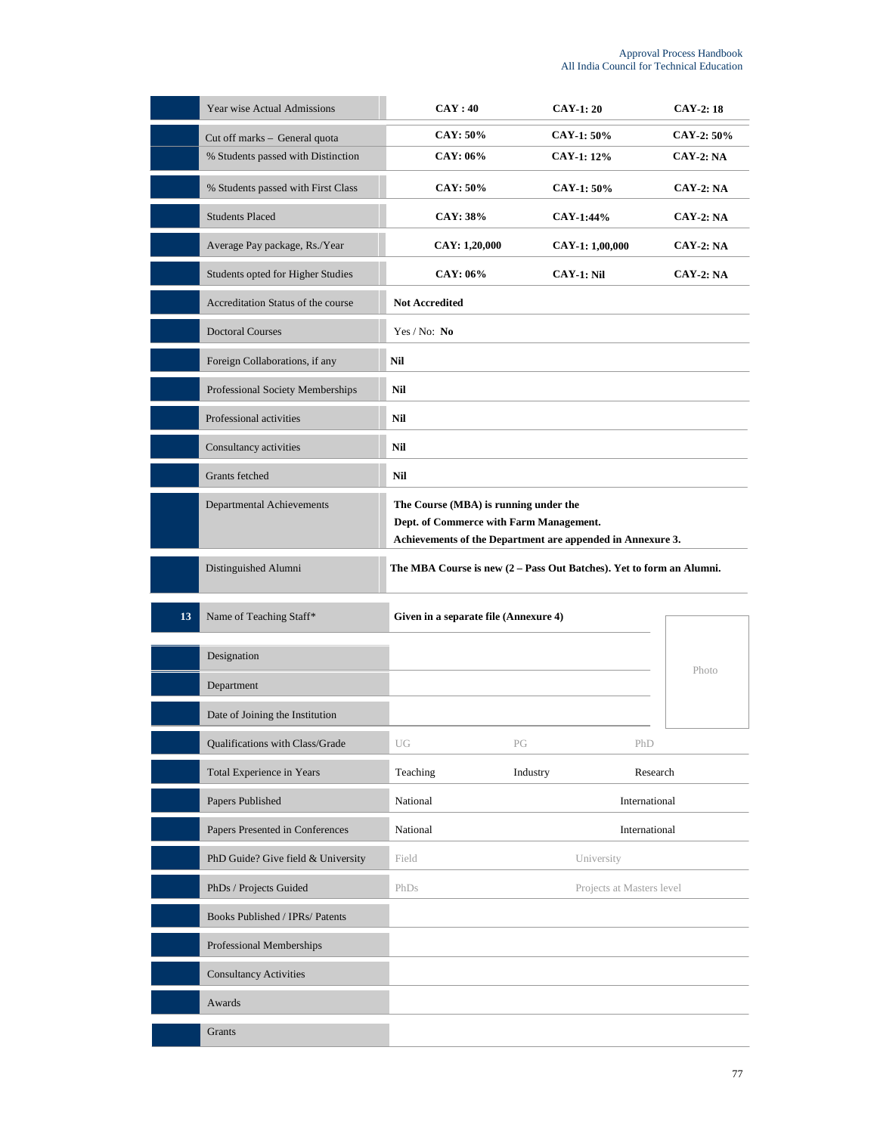|    | Year wise Actual Admissions        | CAY:40                                                                                                                                         | <b>CAY-1:20</b>           | $CAY-2:18$       |
|----|------------------------------------|------------------------------------------------------------------------------------------------------------------------------------------------|---------------------------|------------------|
|    | Cut off marks - General quota      | <b>CAY: 50%</b>                                                                                                                                | CAY-1: 50%                | CAY-2: 50%       |
|    | % Students passed with Distinction | CAY: 06%                                                                                                                                       | CAY-1: 12%                | <b>CAY-2: NA</b> |
|    | % Students passed with First Class | <b>CAY: 50%</b>                                                                                                                                | CAY-1: 50%                | <b>CAY-2: NA</b> |
|    | <b>Students Placed</b>             | <b>CAY: 38%</b>                                                                                                                                | CAY-1:44%                 | $CAY-2: NA$      |
|    | Average Pay package, Rs./Year      | CAY: 1,20,000                                                                                                                                  | CAY-1: 1,00,000           | $CAY-2: NA$      |
|    | Students opted for Higher Studies  | CAY: 06%                                                                                                                                       | $CAY-1: Nil$              | <b>CAY-2: NA</b> |
|    | Accreditation Status of the course | <b>Not Accredited</b>                                                                                                                          |                           |                  |
|    | <b>Doctoral Courses</b>            | Yes / No: No                                                                                                                                   |                           |                  |
|    | Foreign Collaborations, if any     | Nil                                                                                                                                            |                           |                  |
|    | Professional Society Memberships   | Nil                                                                                                                                            |                           |                  |
|    | Professional activities            | Nil                                                                                                                                            |                           |                  |
|    | Consultancy activities             | Nil                                                                                                                                            |                           |                  |
|    | Grants fetched                     | Nil                                                                                                                                            |                           |                  |
|    | <b>Departmental Achievements</b>   | The Course (MBA) is running under the<br>Dept. of Commerce with Farm Management.<br>Achievements of the Department are appended in Annexure 3. |                           |                  |
|    | Distinguished Alumni               | The MBA Course is new $(2 - Pass Out$ Batches). Yet to form an Alumni.                                                                         |                           |                  |
|    |                                    |                                                                                                                                                |                           |                  |
| 13 | Name of Teaching Staff*            | Given in a separate file (Annexure 4)                                                                                                          |                           |                  |
|    | Designation                        |                                                                                                                                                |                           |                  |
|    | Department                         |                                                                                                                                                |                           | Photo            |
|    | Date of Joining the Institution    |                                                                                                                                                |                           |                  |
|    | Qualifications with Class/Grade    | UG<br>РĠ                                                                                                                                       | PhD                       |                  |
|    | Total Experience in Years          | Teaching<br>Industry                                                                                                                           |                           | Research         |
|    | Papers Published                   | National                                                                                                                                       |                           | International    |
|    | Papers Presented in Conferences    | National                                                                                                                                       |                           | International    |
|    | PhD Guide? Give field & University | Field                                                                                                                                          | University                |                  |
|    | PhDs / Projects Guided             | PhDs                                                                                                                                           | Projects at Masters level |                  |
|    | Books Published / IPRs/ Patents    |                                                                                                                                                |                           |                  |
|    | Professional Memberships           |                                                                                                                                                |                           |                  |
|    | <b>Consultancy Activities</b>      |                                                                                                                                                |                           |                  |
|    | Awards                             |                                                                                                                                                |                           |                  |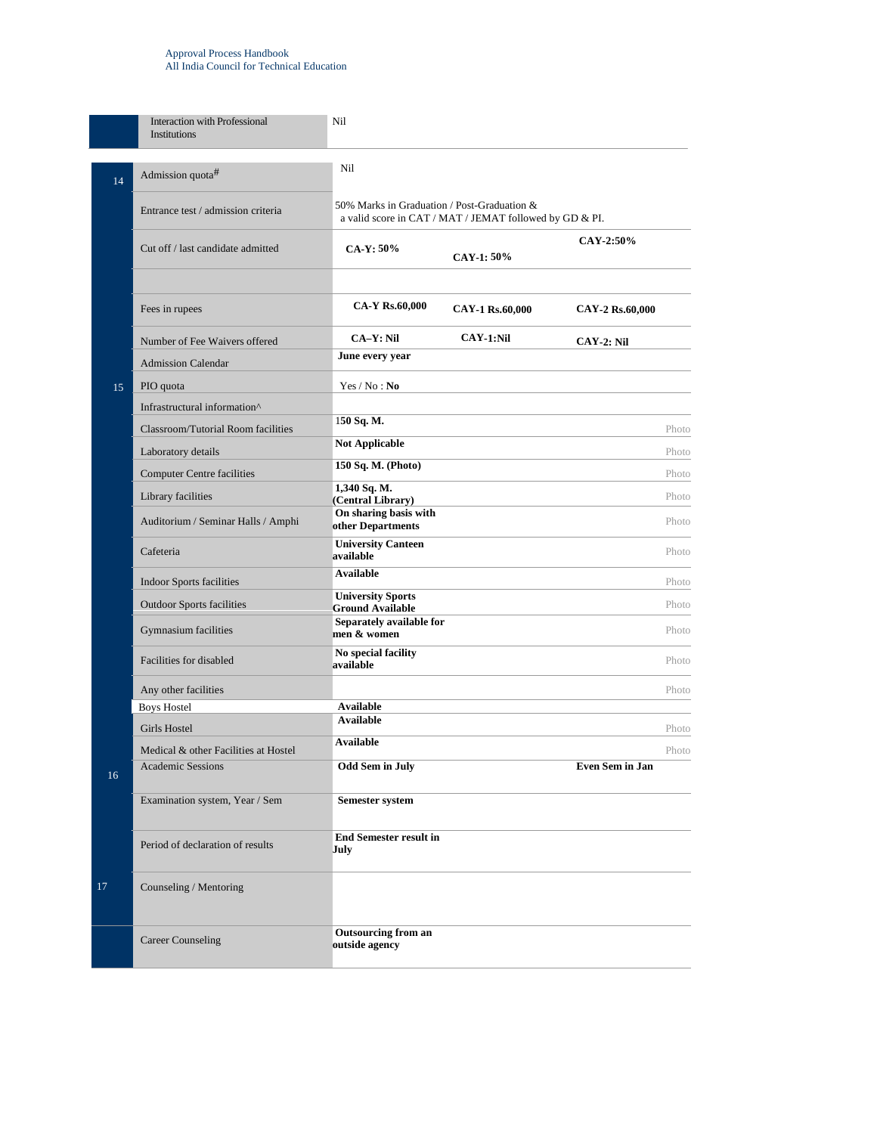#### Approval Process Handbook All India Council for Technical Education

|    | Interaction with Professional<br><b>Institutions</b>             | Nil                                                                                                    |                 |                 |       |
|----|------------------------------------------------------------------|--------------------------------------------------------------------------------------------------------|-----------------|-----------------|-------|
| 14 | Admission quota#                                                 | Nil                                                                                                    |                 |                 |       |
|    | Entrance test / admission criteria                               | 50% Marks in Graduation / Post-Graduation &<br>a valid score in CAT / MAT / JEMAT followed by GD & PI. |                 |                 |       |
|    | Cut off / last candidate admitted                                | CA-Y: 50%                                                                                              | CAY-1: 50%      | CAY-2:50%       |       |
|    | Fees in rupees                                                   | CA-Y Rs.60,000                                                                                         | CAY-1 Rs.60,000 | CAY-2 Rs.60,000 |       |
|    | Number of Fee Waivers offered                                    | <b>CA-Y: Nil</b>                                                                                       | CAY-1:Nil       | $CAY-2: Nil$    |       |
|    | <b>Admission Calendar</b>                                        | June every year                                                                                        |                 |                 |       |
| 15 | PIO quota                                                        | Yes / No : No                                                                                          |                 |                 |       |
|    | Infrastructural information <sup>^</sup>                         |                                                                                                        |                 |                 |       |
|    | <b>Classroom/Tutorial Room facilities</b>                        | 150 Sq. M.                                                                                             |                 |                 | Photo |
|    | Laboratory details                                               | <b>Not Applicable</b>                                                                                  |                 |                 | Photo |
|    | <b>Computer Centre facilities</b>                                | 150 Sq. M. (Photo)                                                                                     |                 |                 | Photo |
|    | Library facilities                                               | 1,340 Sq. M.<br>(Central Library)                                                                      |                 |                 | Photo |
|    | Auditorium / Seminar Halls / Amphi                               | On sharing basis with<br>other Departments                                                             |                 |                 | Photo |
|    | Cafeteria                                                        | <b>University Canteen</b><br>available                                                                 |                 |                 | Photo |
|    | <b>Indoor Sports facilities</b>                                  | Available                                                                                              |                 |                 | Photo |
|    | <b>Outdoor Sports facilities</b>                                 | <b>University Sports</b><br><b>Ground Available</b>                                                    |                 |                 | Photo |
|    | Gymnasium facilities                                             | Separately available for<br>men & women                                                                |                 |                 | Photo |
|    | Facilities for disabled                                          | No special facility<br>available                                                                       |                 |                 | Photo |
|    | Any other facilities                                             |                                                                                                        |                 |                 | Photo |
|    | <b>Boys Hostel</b>                                               | <b>Available</b><br><b>Available</b>                                                                   |                 |                 |       |
|    | Girls Hostel                                                     | <b>Available</b>                                                                                       |                 |                 | Photo |
|    | Medical & other Facilities at Hostel<br><b>Academic Sessions</b> | <b>Odd Sem in July</b>                                                                                 |                 | Even Sem in Jan | Photo |
| 16 |                                                                  |                                                                                                        |                 |                 |       |
|    | Examination system, Year / Sem                                   | <b>Semester system</b>                                                                                 |                 |                 |       |
|    | Period of declaration of results                                 | <b>End Semester result in</b><br>July                                                                  |                 |                 |       |
| 17 | Counseling / Mentoring                                           |                                                                                                        |                 |                 |       |
|    | <b>Career Counseling</b>                                         | <b>Outsourcing from an</b><br>outside agency                                                           |                 |                 |       |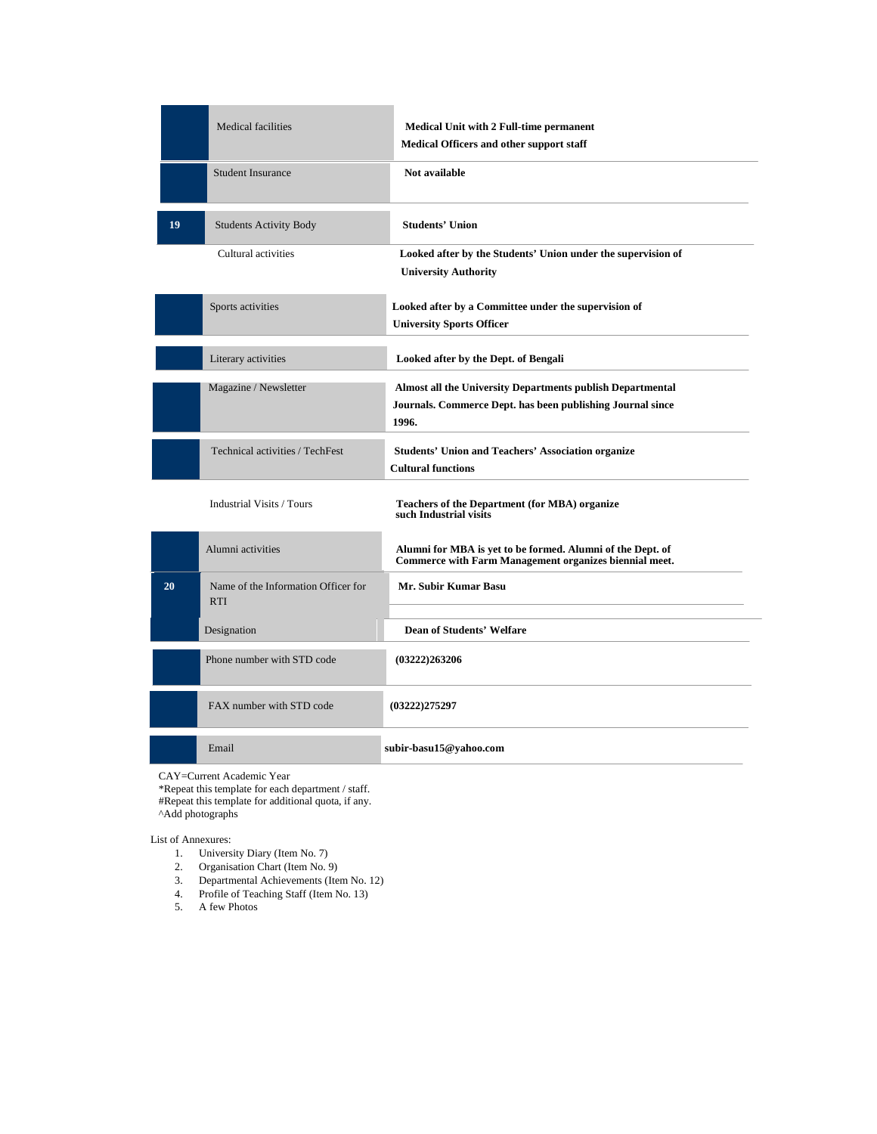|    | <b>Medical facilities</b>                         | <b>Medical Unit with 2 Full-time permanent</b><br>Medical Officers and other support staff                                        |
|----|---------------------------------------------------|-----------------------------------------------------------------------------------------------------------------------------------|
|    | <b>Student Insurance</b>                          | Not available                                                                                                                     |
| 19 | <b>Students Activity Body</b>                     | <b>Students' Union</b>                                                                                                            |
|    | Cultural activities                               | Looked after by the Students' Union under the supervision of<br><b>University Authority</b>                                       |
|    | Sports activities                                 | Looked after by a Committee under the supervision of<br><b>University Sports Officer</b>                                          |
|    | Literary activities                               | Looked after by the Dept. of Bengali                                                                                              |
|    | Magazine / Newsletter                             | Almost all the University Departments publish Departmental<br>Journals. Commerce Dept. has been publishing Journal since<br>1996. |
|    | Technical activities / TechFest                   | <b>Students' Union and Teachers' Association organize</b><br><b>Cultural functions</b>                                            |
|    | <b>Industrial Visits / Tours</b>                  | <b>Teachers of the Department (for MBA) organize</b><br>such Industrial visits                                                    |
|    | Alumni activities                                 | Alumni for MBA is yet to be formed. Alumni of the Dept. of<br><b>Commerce with Farm Management organizes biennial meet.</b>       |
| 20 | Name of the Information Officer for<br><b>RTI</b> | Mr. Subir Kumar Basu                                                                                                              |
|    | Designation                                       | <b>Dean of Students' Welfare</b>                                                                                                  |
|    | Phone number with STD code                        | (03222)263206                                                                                                                     |
|    | FAX number with STD code                          | (03222)275297                                                                                                                     |
|    | Email                                             | subir-basu15@yahoo.com                                                                                                            |
|    | $CAV-Cumont Aodomio Vcon$                         |                                                                                                                                   |

CAY=Current Academic Year

\*Repeat this template for each department / staff.

#Repeat this template for additional quota, if any.

^Add photographs

List of Annexures:

- 1. University Diary (Item No. 7)
- 2. Organisation Chart (Item No. 9)
- 3. Departmental Achievements (Item No. 12)
- 4. Profile of Teaching Staff (Item No. 13)
- 5. A few Photos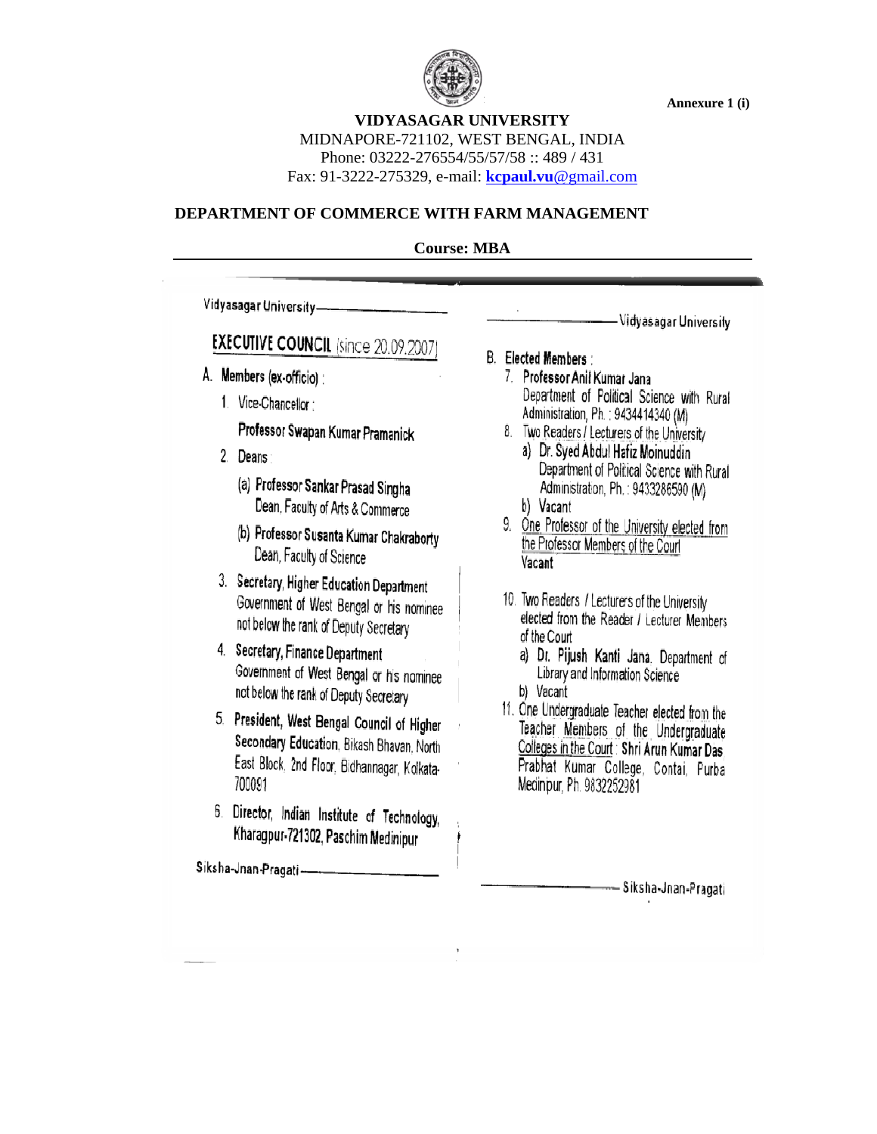

**Annexure 1 (i)** 

**VIDYASAGAR UNIVERSITY**  MIDNAPORE-721102, WEST BENGAL, INDIA

Phone: 03222-276554/55/57/58 :: 489 / 431

Fax: 91-3222-275329, e-mail: **kcpaul.vu**@gmail.com

### **DEPARTMENT OF COMMERCE WITH FARM MANAGEMENT**

### **Course: MBA**

Vidyasagar University-

# **EXECUTIVE COUNCIL (since 20.09.2007**

- A. Members (ex-officio):
	- 1. Vice-Chancellor:

Professor Swapan Kumar Pramanick

- 2. Deans
	- (a) Professor Sankar Prasad Singha Dean, Faculty of Arts & Commerce
	- (b) Professor Susanta Kumar Chakraborty Dean, Faculty of Science
- 3. Secretary, Higher Education Department Government of West Bengal or his nominee not below the rank of Deputy Secretary
- 4. Secretary, Finance Department Government of West Bengal or his nominee not below the rank of Deputy Secretary
- 5. President, West Bengal Council of Higher Secondary Education, Bikash Bhavan, North East Block, 2nd Floor, Bidhannagar, Kolkata-700091
- 6. Director, Indian Institute of Technology, Kharagpur-721302, Paschim Medinipur

Siksha-Jnan-Pragati-

**B.** Elected Members

7. Professor Anil Kumar Jana Department of Political Science with Rural Administration, Ph. : 9434414340 (M)

- 8. Two Readers / Lecturers of the University
	- a) Dr. Syed Abdul Hafiz Moinuddin Department of Political Science with Rural Administration, Ph.: 9433286590 (M)
	- b) Vacant
- 9. One Professor of the University elected from the Professor Members of the Court Vacant
- 10. Two Readers / Lecturers of the University elected from the Reader / Lecturer Members of the Court
	- a) Dr. Pijush Kanti Jana. Department of Library and Information Science b) Vacant
	-
- 11. One Undergraduate Teacher elected from the Teacher Members of the Undergraduate Colleges in the Court: Shri Arun Kumar Das Prabhat Kumar College, Contai, Purba Medinipur, Ph. 9832252981

— Siksha-Jnan-Pragati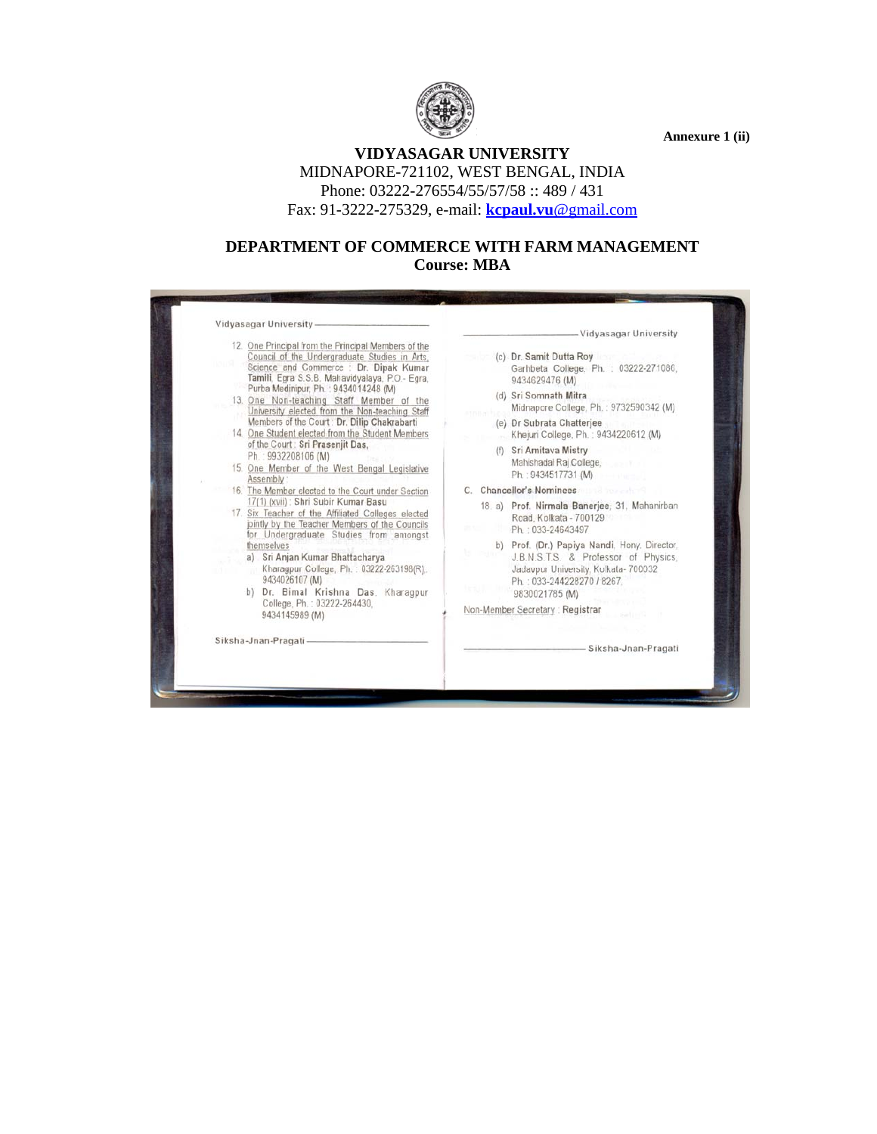

**Annexure 1 (ii)** 

### **VIDYASAGAR UNIVERSITY**  MIDNAPORE-721102, WEST BENGAL, INDIA Phone: 03222-276554/55/57/58 :: 489 / 431 Fax: 91-3222-275329, e-mail: **kcpaul.vu**@gmail.com

### **DEPARTMENT OF COMMERCE WITH FARM MANAGEMENT Course: MBA**

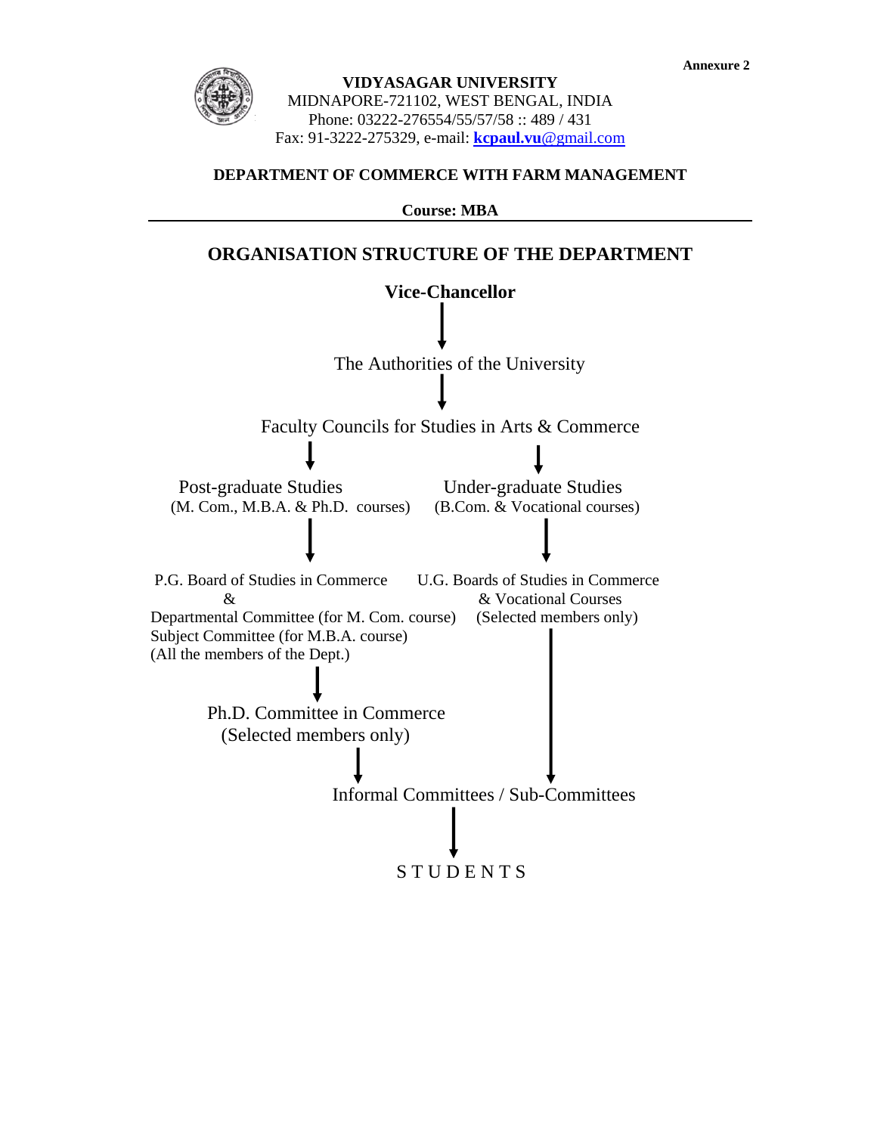

#### **DEPARTMENT OF COMMERCE WITH FARM MANAGEMENT**

**Course: MBA** 

### **ORGANISATION STRUCTURE OF THE DEPARTMENT**

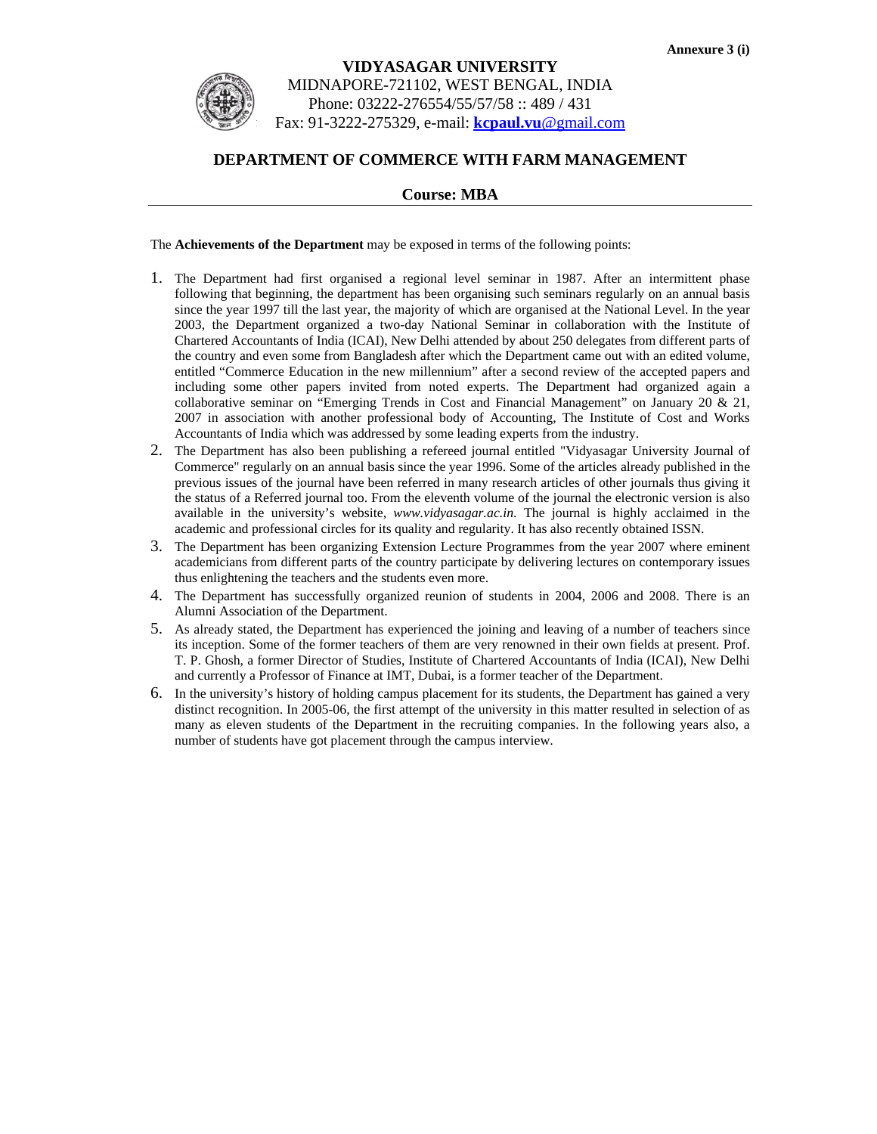

### **VIDYASAGAR UNIVERSITY**  MIDNAPORE-721102, WEST BENGAL, INDIA Phone: 03222-276554/55/57/58 :: 489 / 431 Fax: 91-3222-275329, e-mail: **kcpaul.vu**@gmail.com

### **DEPARTMENT OF COMMERCE WITH FARM MANAGEMENT**

#### **Course: MBA**

The **Achievements of the Department** may be exposed in terms of the following points:

- 1. The Department had first organised a regional level seminar in 1987. After an intermittent phase following that beginning, the department has been organising such seminars regularly on an annual basis since the year 1997 till the last year, the majority of which are organised at the National Level. In the year 2003, the Department organized a two-day National Seminar in collaboration with the Institute of Chartered Accountants of India (ICAI), New Delhi attended by about 250 delegates from different parts of the country and even some from Bangladesh after which the Department came out with an edited volume, entitled "Commerce Education in the new millennium" after a second review of the accepted papers and including some other papers invited from noted experts. The Department had organized again a collaborative seminar on "Emerging Trends in Cost and Financial Management" on January 20 & 21, 2007 in association with another professional body of Accounting, The Institute of Cost and Works Accountants of India which was addressed by some leading experts from the industry.
- 2. The Department has also been publishing a refereed journal entitled "Vidyasagar University Journal of Commerce" regularly on an annual basis since the year 1996. Some of the articles already published in the previous issues of the journal have been referred in many research articles of other journals thus giving it the status of a Referred journal too. From the eleventh volume of the journal the electronic version is also available in the university's website, *www.vidyasagar.ac.in*. The journal is highly acclaimed in the academic and professional circles for its quality and regularity. It has also recently obtained ISSN.
- 3. The Department has been organizing Extension Lecture Programmes from the year 2007 where eminent academicians from different parts of the country participate by delivering lectures on contemporary issues thus enlightening the teachers and the students even more.
- 4. The Department has successfully organized reunion of students in 2004, 2006 and 2008. There is an Alumni Association of the Department.
- 5. As already stated, the Department has experienced the joining and leaving of a number of teachers since its inception. Some of the former teachers of them are very renowned in their own fields at present. Prof. T. P. Ghosh, a former Director of Studies, Institute of Chartered Accountants of India (ICAI), New Delhi and currently a Professor of Finance at IMT, Dubai, is a former teacher of the Department.
- 6. In the university's history of holding campus placement for its students, the Department has gained a very distinct recognition. In 2005-06, the first attempt of the university in this matter resulted in selection of as many as eleven students of the Department in the recruiting companies. In the following years also, a number of students have got placement through the campus interview.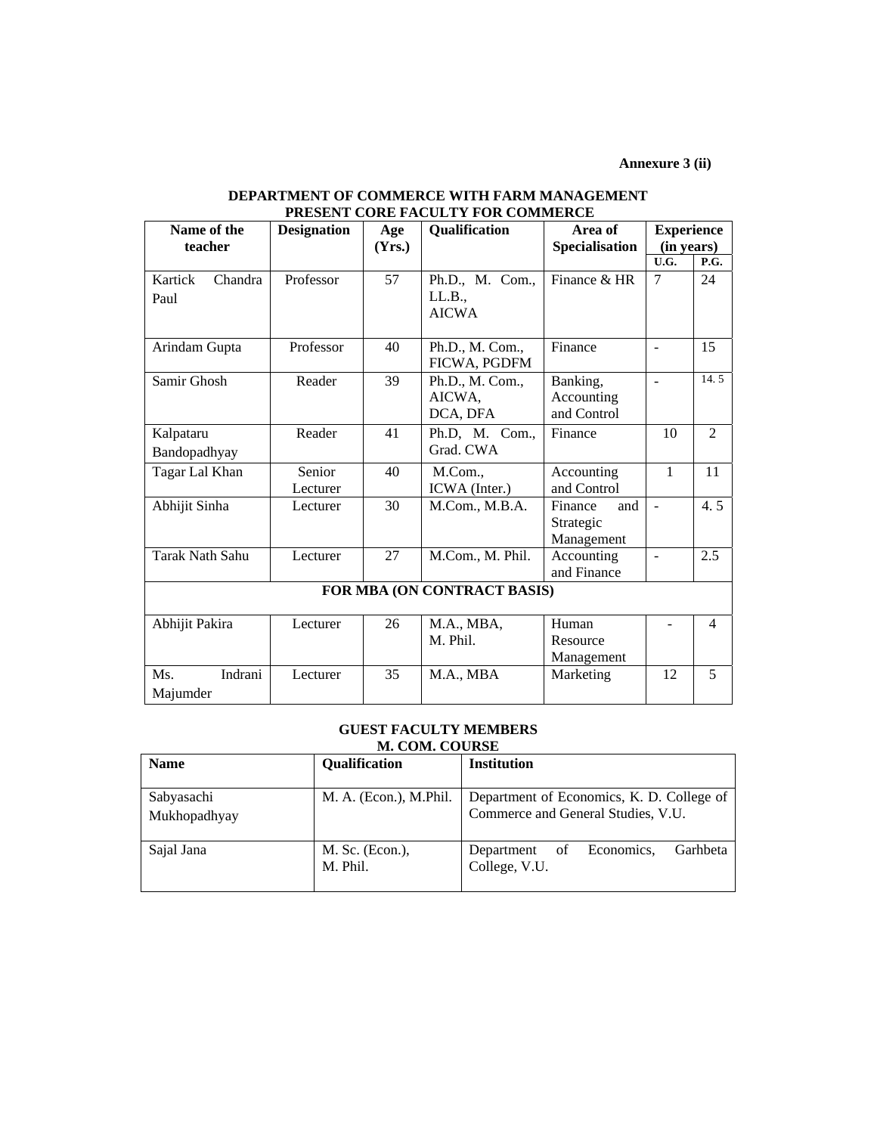**Annexure 3 (ii)** 

| FRESENT CORE FACULT I FOR COMMERCE |                    |        |                  |                |                          |                |
|------------------------------------|--------------------|--------|------------------|----------------|--------------------------|----------------|
| Name of the                        | <b>Designation</b> | Age    | Qualification    | Area of        | <b>Experience</b>        |                |
| teacher                            |                    | (Yrs.) |                  | Specialisation | (in years)               |                |
|                                    |                    |        |                  |                | U.G.                     | P.G.           |
| Kartick<br>Chandra                 | Professor          | 57     | Ph.D., M. Com.,  | Finance & HR   | $\overline{7}$           | 24             |
| Paul                               |                    |        | LL.B.,           |                |                          |                |
|                                    |                    |        | <b>AICWA</b>     |                |                          |                |
|                                    |                    |        |                  |                |                          |                |
| Arindam Gupta                      | Professor          | 40     | Ph.D., M. Com.,  | Finance        | $\overline{\phantom{a}}$ | 15             |
|                                    |                    |        | FICWA, PGDFM     |                |                          |                |
| Samir Ghosh                        | Reader             | 39     | Ph.D., M. Com.,  | Banking,       | $\overline{a}$           | 14.5           |
|                                    |                    |        | AICWA,           | Accounting     |                          |                |
|                                    |                    |        | DCA, DFA         | and Control    |                          |                |
| Kalpataru                          | Reader             | 41     | Ph.D, M. Com.,   | Finance        | 10                       | $\mathfrak{D}$ |
| Bandopadhyay                       |                    |        | Grad. CWA        |                |                          |                |
| Tagar Lal Khan                     | Senior             | 40     | M.Com.,          | Accounting     | $\mathbf{1}$             | 11             |
|                                    | Lecturer           |        | ICWA (Inter.)    | and Control    |                          |                |
| Abhijit Sinha                      | Lecturer           | 30     | M.Com., M.B.A.   | Finance<br>and | $\mathbf{r}$             | 4.5            |
|                                    |                    |        |                  | Strategic      |                          |                |
|                                    |                    |        |                  | Management     |                          |                |
| Tarak Nath Sahu                    | Lecturer           | 27     | M.Com., M. Phil. | Accounting     | $\blacksquare$           | 2.5            |
|                                    |                    |        |                  | and Finance    |                          |                |
| FOR MBA (ON CONTRACT BASIS)        |                    |        |                  |                |                          |                |
| Abhijit Pakira                     | Lecturer           | 26     | M.A., MBA,       | Human          |                          | 4              |
|                                    |                    |        | M. Phil.         | Resource       |                          |                |
|                                    |                    |        |                  | Management     |                          |                |
| Ms.<br>Indrani                     | Lecturer           | 35     | M.A., MBA        | Marketing      | 12                       | 5              |
| Majumder                           |                    |        |                  |                |                          |                |

#### **DEPARTMENT OF COMMERCE WITH FARM MANAGEMENT PRESENT CORE FACULTY FOR COMMERCE**

#### **GUEST FACULTY MEMBERS M. COM. COURSE**

| <b>Name</b>                | Qualification               | <b>Institution</b>                                                              |
|----------------------------|-----------------------------|---------------------------------------------------------------------------------|
| Sabyasachi<br>Mukhopadhyay | M. A. (Econ.), M.Phil.      | Department of Economics, K. D. College of<br>Commerce and General Studies, V.U. |
| Sajal Jana                 | M. Sc. (Econ.),<br>M. Phil. | Garhbeta<br>Economics,<br>Department<br>οf<br>College, V.U.                     |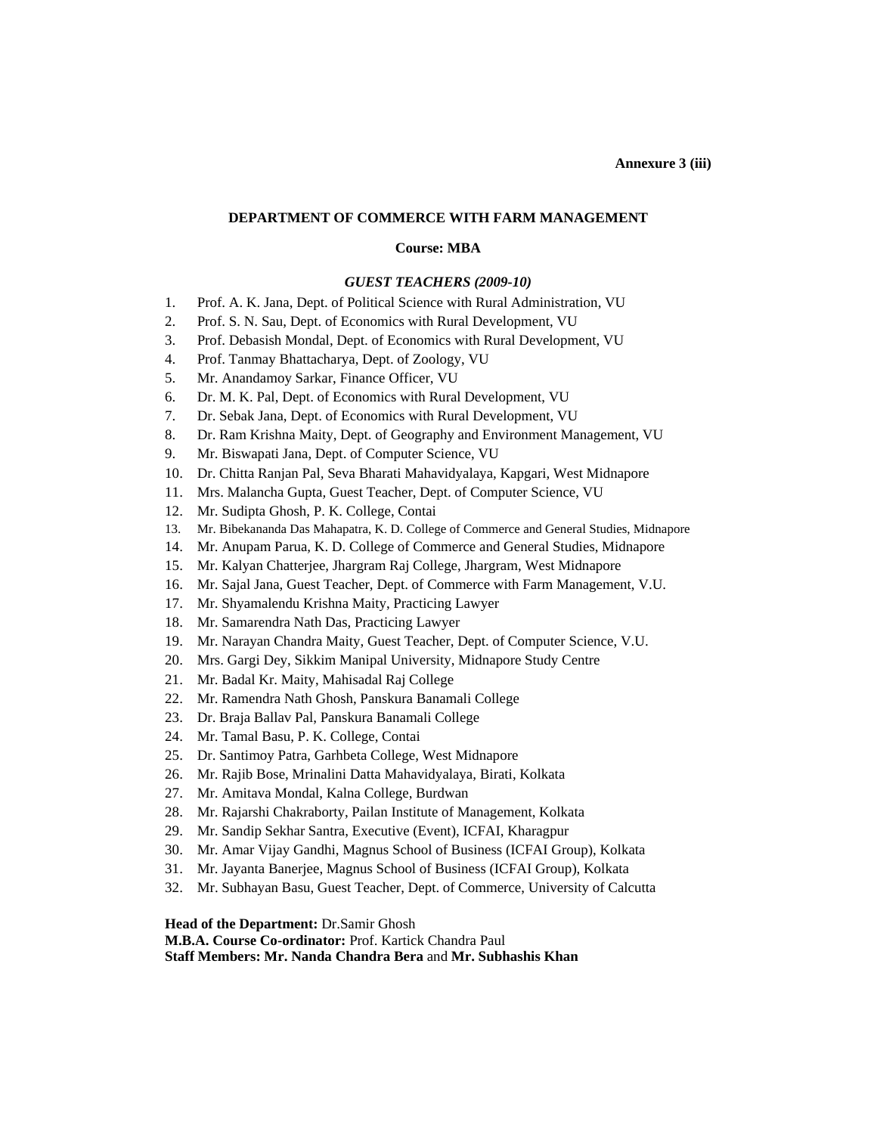#### **DEPARTMENT OF COMMERCE WITH FARM MANAGEMENT**

#### **Course: MBA**

#### *GUEST TEACHERS (2009-10)*

- 1. Prof. A. K. Jana, Dept. of Political Science with Rural Administration, VU
- 2. Prof. S. N. Sau, Dept. of Economics with Rural Development, VU
- 3. Prof. Debasish Mondal, Dept. of Economics with Rural Development, VU
- 4. Prof. Tanmay Bhattacharya, Dept. of Zoology, VU
- 5. Mr. Anandamoy Sarkar, Finance Officer, VU
- 6. Dr. M. K. Pal, Dept. of Economics with Rural Development, VU
- 7. Dr. Sebak Jana, Dept. of Economics with Rural Development, VU
- 8. Dr. Ram Krishna Maity, Dept. of Geography and Environment Management, VU
- 9. Mr. Biswapati Jana, Dept. of Computer Science, VU
- 10. Dr. Chitta Ranjan Pal*,* Seva Bharati Mahavidyalaya, Kapgari, West Midnapore
- 11. Mrs. Malancha Gupta*,* Guest Teacher, Dept. of Computer Science, VU
- 12. Mr. Sudipta Ghosh, P. K. College, Contai
- 13. Mr. Bibekananda Das Mahapatra, K. D. College of Commerce and General Studies, Midnapore
- 14. Mr. Anupam Parua*,* K. D. College of Commerce and General Studies, Midnapore
- 15. Mr. Kalyan Chatterjee, Jhargram Raj College, Jhargram, West Midnapore
- 16. Mr. Sajal Jana, Guest Teacher, Dept. of Commerce with Farm Management, V.U.
- 17. Mr. Shyamalendu Krishna Maity, Practicing Lawyer
- 18. Mr. Samarendra Nath Das, Practicing Lawyer
- 19. Mr. Narayan Chandra Maity, Guest Teacher, Dept. of Computer Science, V.U.
- 20. Mrs. Gargi Dey, Sikkim Manipal University, Midnapore Study Centre
- 21. Mr. Badal Kr. Maity, Mahisadal Raj College
- 22. Mr. Ramendra Nath Ghosh, Panskura Banamali College
- 23. Dr. Braja Ballav Pal, Panskura Banamali College
- 24. Mr. Tamal Basu, P. K. College, Contai
- 25. Dr. Santimoy Patra, Garhbeta College, West Midnapore
- 26. Mr. Rajib Bose, Mrinalini Datta Mahavidyalaya, Birati, Kolkata
- 27. Mr. Amitava Mondal, Kalna College, Burdwan
- 28. Mr. Rajarshi Chakraborty, Pailan Institute of Management, Kolkata
- 29. Mr. Sandip Sekhar Santra, Executive (Event), ICFAI, Kharagpur
- 30. Mr. Amar Vijay Gandhi, Magnus School of Business (ICFAI Group), Kolkata
- 31. Mr. Jayanta Banerjee, Magnus School of Business (ICFAI Group), Kolkata
- 32. Mr. Subhayan Basu, Guest Teacher, Dept. of Commerce, University of Calcutta

**Head of the Department:** Dr.Samir Ghosh

**M.B.A. Course Co-ordinator:** Prof. Kartick Chandra Paul

**Staff Members: Mr. Nanda Chandra Bera** and **Mr. Subhashis Khan**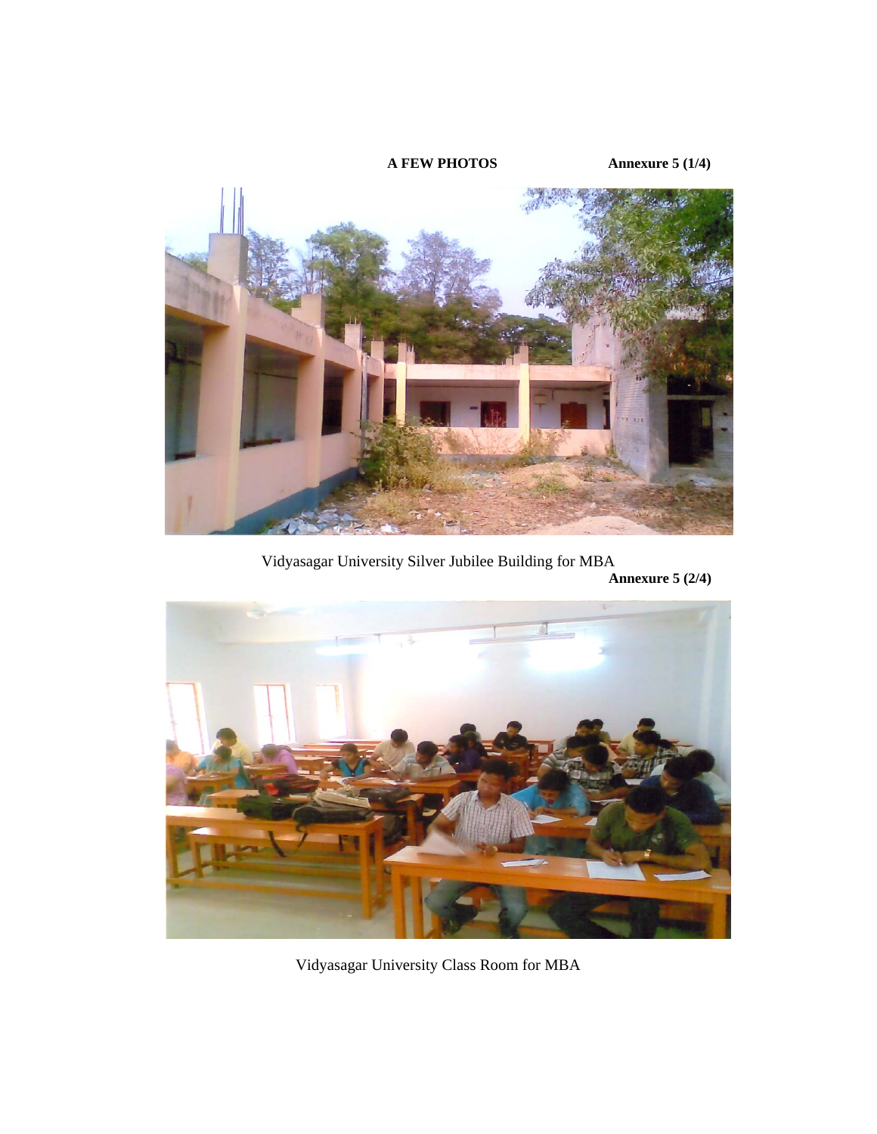

Vidyasagar University Silver Jubilee Building for MBA **Annexure 5 (2/4)** 



Vidyasagar University Class Room for MBA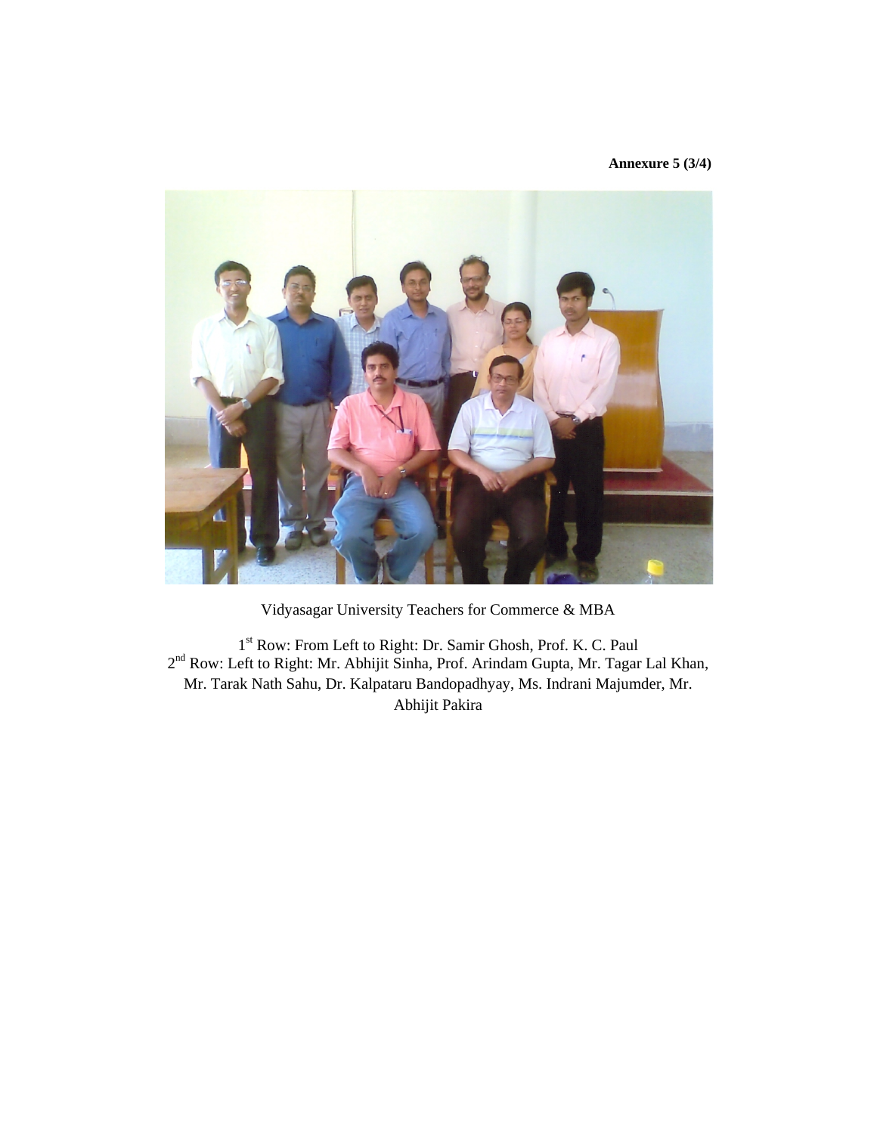#### **Annexure 5 (3/4)**



Vidyasagar University Teachers for Commerce & MBA

1<sup>st</sup> Row: From Left to Right: Dr. Samir Ghosh, Prof. K. C. Paul 2<sup>nd</sup> Row: Left to Right: Mr. Abhijit Sinha, Prof. Arindam Gupta, Mr. Tagar Lal Khan, Mr. Tarak Nath Sahu, Dr. Kalpataru Bandopadhyay, Ms. Indrani Majumder, Mr. Abhijit Pakira